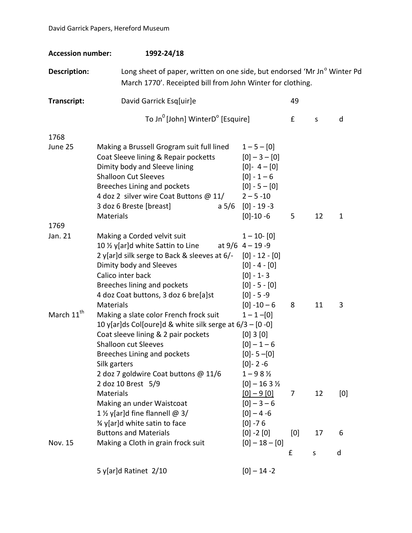| <b>Accession number:</b> | 1992-24/18                                                                                                                                                                                                                                                                                   |                                                                                                                                     |          |          |              |
|--------------------------|----------------------------------------------------------------------------------------------------------------------------------------------------------------------------------------------------------------------------------------------------------------------------------------------|-------------------------------------------------------------------------------------------------------------------------------------|----------|----------|--------------|
| Description:             | Long sheet of paper, written on one side, but endorsed 'Mr Jn° Winter Pd<br>March 1770'. Receipted bill from John Winter for clothing.                                                                                                                                                       |                                                                                                                                     |          |          |              |
| Transcript:              | David Garrick Esq[uir]e                                                                                                                                                                                                                                                                      |                                                                                                                                     | 49       |          |              |
|                          | To Jn <sup>0</sup> [John] WinterD <sup>o</sup> [Esquire]                                                                                                                                                                                                                                     |                                                                                                                                     | £        | S        | d            |
| 1768                     |                                                                                                                                                                                                                                                                                              |                                                                                                                                     |          |          |              |
| June 25                  | Making a Brussell Grogram suit full lined<br>Coat Sleeve lining & Repair pocketts<br>Dimity body and Sleeve lining<br><b>Shalloon Cut Sleeves</b><br>Breeches Lining and pockets<br>4 doz 2 silver wire Coat Buttons @ 11/<br>3 doz 6 Breste [breast]<br>a 5/6<br>Materials                  | $1 - 5 - [0]$<br>$[0]-3-[0]$<br>$[0] - 4 - [0]$<br>$[0] - 1 - 6$<br>$[0] - 5 - [0]$<br>$2 - 5 - 10$<br>$[0] - 19 - 3$<br>$[0]-10-6$ | 5        | 12       | $\mathbf{1}$ |
| 1769                     |                                                                                                                                                                                                                                                                                              |                                                                                                                                     |          |          |              |
| Jan. 21                  | Making a Corded velvit suit<br>10 % y[ar]d white Sattin to Line<br>2 y[ar]d silk serge to Back & sleeves at 6/- [0] - 12 - [0]<br>Dimity body and Sleeves<br>Calico inter back<br>Breeches lining and pockets<br>4 doz Coat buttons, 3 doz 6 bre[a]st<br>Materials                           | $1 - 10 - 0$<br>at $9/6$ 4 - 19 - 9<br>$[0] - 4 - [0]$<br>$[0] - 1 - 3$<br>$[0] - 5 - [0]$<br>$[0] - 5 - 9$<br>$[0] -10 - 6$        | 8        | 11       | 3            |
| March 11 <sup>th</sup>   | Making a slate color French frock suit<br>10 y[ar]ds Col[oure]d & white silk serge at 6/3 - [0 -0]<br>Coat sleeve lining & 2 pair pockets<br><b>Shalloon cut Sleeves</b><br><b>Breeches Lining and pockets</b><br>Silk garters<br>2 doz 7 goldwire Coat buttons @ 11/6<br>2 doz 10 Brest 5/9 | $1 - 1 - 0$<br>[0] 3 [0]<br>$[0]-1-6$<br>$[0]-5-[0]$<br>$[0]-2-6$<br>$1 - 98\%$<br>$[0]-163\%$                                      |          |          |              |
|                          | <b>Materials</b><br>Making an under Waistcoat<br>1 % y[ar]d fine flannell $@3/$<br>3/4 y[ar]d white satin to face<br><b>Buttons and Materials</b>                                                                                                                                            | $[0] - 9 [0]$<br>$[0]-3-6$<br>$[0]-4-6$<br>$[0] - 76$<br>$[0] -2 [0]$                                                               | 7<br>[0] | 12<br>17 | [0]<br>6     |
| Nov. 15                  | Making a Cloth in grain frock suit                                                                                                                                                                                                                                                           | $[0] - 18 - [0]$                                                                                                                    |          |          |              |
|                          |                                                                                                                                                                                                                                                                                              |                                                                                                                                     | £        | $\sf S$  | d            |
|                          | 5 y[ar]d Ratinet 2/10                                                                                                                                                                                                                                                                        | $[0]-14-2$                                                                                                                          |          |          |              |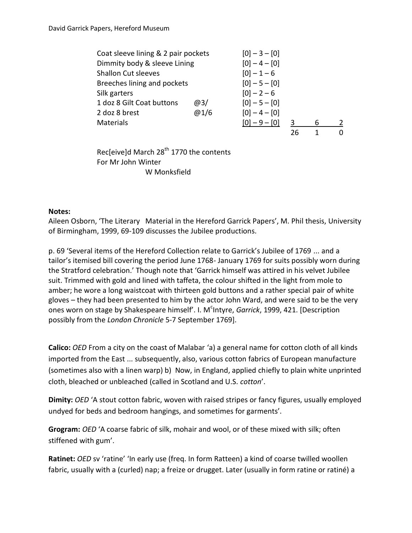| Coat sleeve lining & 2 pair pockets | $[0]-3-[0]$     |                 |    |   |   |
|-------------------------------------|-----------------|-----------------|----|---|---|
| Dimmity body & sleeve Lining        | $[0]-4-[0]$     |                 |    |   |   |
| <b>Shallon Cut sleeves</b>          | $[0]-1-6$       |                 |    |   |   |
| Breeches lining and pockets         | $[0] - 5 - [0]$ |                 |    |   |   |
| Silk garters                        |                 | $[0]-2-6$       |    |   |   |
| 1 doz 8 Gilt Coat buttons           | @3/             | $[0] - 5 - [0]$ |    |   |   |
| 2 doz 8 brest                       | @1/6            | $[0] - 4 - [0]$ |    |   |   |
| <b>Materials</b>                    |                 | $[0] - 9 - [0]$ |    | 6 | 2 |
|                                     |                 |                 | 26 |   | ŋ |

Rec[eive]d March  $28<sup>th</sup>$  1770 the contents For Mr John Winter W Monksfield

## **Notes:**

Aileen Osborn, 'The Literary Material in the Hereford Garrick Papers', M. Phil thesis, University of Birmingham, 1999, 69-109 discusses the Jubilee productions.

p. 69 'Several items of the Hereford Collection relate to Garrick's Jubilee of 1769 ... and a tailor's itemised bill covering the period June 1768- January 1769 for suits possibly worn during the Stratford celebration.' Though note that 'Garrick himself was attired in his velvet Jubilee suit. Trimmed with gold and lined with taffeta, the colour shifted in the light from mole to amber; he wore a long waistcoat with thirteen gold buttons and a rather special pair of white gloves – they had been presented to him by the actor John Ward, and were said to be the very ones worn on stage by Shakespeare himself'. I. M<sup>c</sup>Intyre, *Garrick*, 1999, 421. [Description possibly from the *London Chronicle* 5-7 September 1769].

**Calico:** *OED* From a city on the coast of Malabar 'a) a general name for cotton cloth of all kinds imported from the East ... subsequently, also, various cotton fabrics of European manufacture (sometimes also with a linen warp) b) Now, in England, applied chiefly to plain white unprinted cloth, bleached or unbleached (called in Scotland and U.S. *cotton*'.

**Dimity:** *OED* 'A stout cotton fabric, woven with raised stripes or fancy figures, usually employed undyed for beds and bedroom hangings, and sometimes for garments'.

**Grogram:** *OED* 'A coarse fabric of silk, mohair and wool, or of these mixed with silk; often stiffened with gum'.

**Ratinet:** *OED* sv 'ratine' 'In early use (freq. In form Ratteen) a kind of coarse twilled woollen fabric, usually with a (curled) nap; a freize or drugget. Later (usually in form ratine or ratiné) a